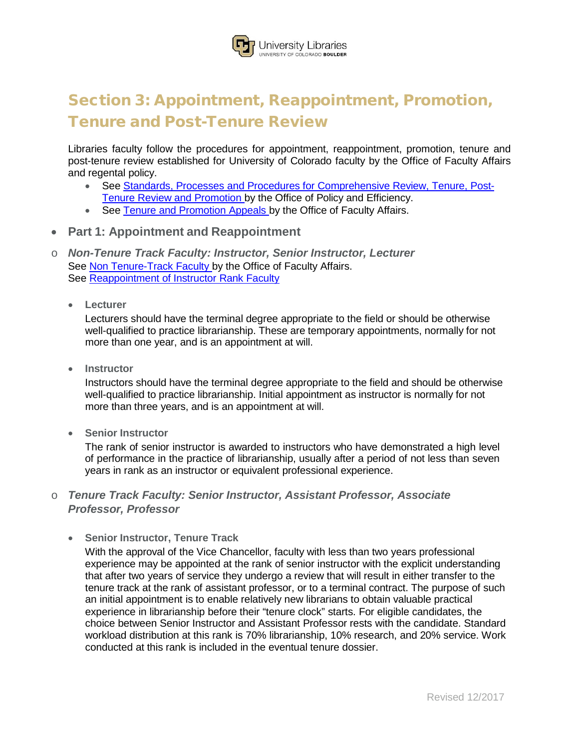## **Jniversity Libraries** INIVERSITY OF COLORADO BOULDER

# Section 3: Appointment, Reappointment, Promotion, Tenure and Post-Tenure Review

Libraries faculty follow the procedures for appointment, reappointment, promotion, tenure and post-tenure review established for University of Colorado faculty by the Office of Faculty Affairs and regental policy.

- See [Standards, Processes](http://www.cu.edu/ope/policy/aps-1022-standards-processes-and-procedures-comprehensive-review-tenure-and-promotion) and Procedures for Comprehensive Review, Tenure, Post-Tenure Review and [Promotion](http://www.cu.edu/ope/policy/aps-1022-standards-processes-and-procedures-comprehensive-review-tenure-and-promotion) by the Office of Policy and Efficiency.
- See Tenure and [Promotion](https://facultyaffairs.colorado.edu/faculty/reappointment-promotion-and-tenure/related-policy-information/tenure-and-promotion-appeals) Appeals by the Office of Faculty Affairs.
- **Part 1: Appointment and Reappointment**
- o *Non-Tenure Track Faculty: Instructor, Senior Instructor, Lecturer* See Non [Tenure-Track](https://facultyaffairs.colorado.edu/faculty/recruiting-and-hiring/ii.-non-tenure-track-faculty) Faculty by the Office of Faculty Affairs. See [Reappointment](http://www.colorado.edu/facultyaffairs/career-milestones/reappointment-promotion-and-tenure/reappointment-instructor-rank-faculty) of Instructor Rank Faculty
	- **Lecturer**

Lecturers should have the terminal degree appropriate to the field or should be otherwise well-qualified to practice librarianship. These are temporary appointments, normally for not more than one year, and is an appointment at will.

• **Instructor**

Instructors should have the terminal degree appropriate to the field and should be otherwise well-qualified to practice librarianship. Initial appointment as instructor is normally for not more than three years, and is an appointment at will.

• **Senior Instructor**

The rank of senior instructor is awarded to instructors who have demonstrated a high level of performance in the practice of librarianship, usually after a period of not less than seven years in rank as an instructor or equivalent professional experience.

#### o *Tenure Track Faculty: Senior Instructor, Assistant Professor, Associate Professor, Professor*

• **Senior Instructor, Tenure Track**

With the approval of the Vice Chancellor, faculty with less than two years professional experience may be appointed at the rank of senior instructor with the explicit understanding that after two years of service they undergo a review that will result in either transfer to the tenure track at the rank of assistant professor, or to a terminal contract. The purpose of such an initial appointment is to enable relatively new librarians to obtain valuable practical experience in librarianship before their "tenure clock" starts. For eligible candidates, the choice between Senior Instructor and Assistant Professor rests with the candidate. Standard workload distribution at this rank is 70% librarianship, 10% research, and 20% service. Work conducted at this rank is included in the eventual tenure dossier.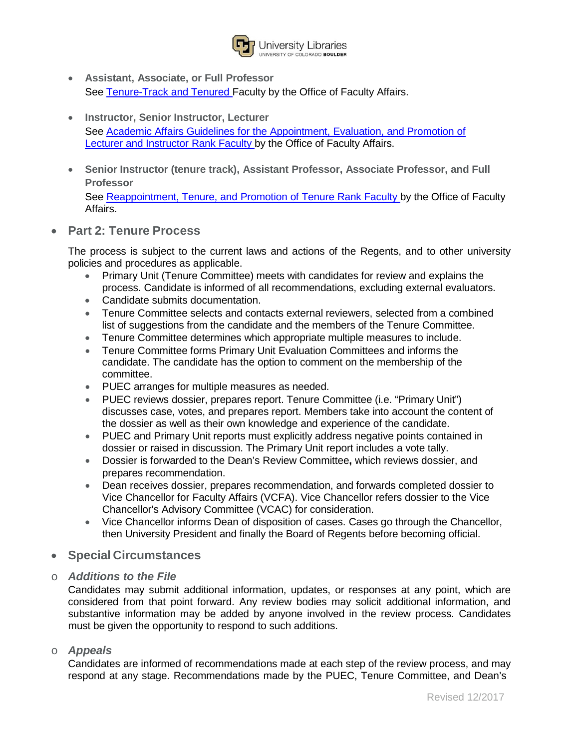

- **Assistant, Associate, or Full Professor** See [Tenure-Track](https://facultyaffairs.colorado.edu/faculty/recruiting-and-hiring/recruiting-process-tenure-track-and-tenured-faculty) and Tenured Faculty by the Office of Faculty Affairs.
- **Instructor, Senior Instructor, Lecturer** See Academic Affairs Guidelines for the [Appointment,](https://facultyaffairs.colorado.edu/a-z-information-guide-docs/Lecturer_Instructor_Appointment_Evaluation_Promotion_Guidelines_3-2011.pdf) Evaluation, and Promotion of Lecturer and [Instructor](https://facultyaffairs.colorado.edu/a-z-information-guide-docs/Lecturer_Instructor_Appointment_Evaluation_Promotion_Guidelines_3-2011.pdf) Rank Faculty by the Office of Faculty Affairs.
- **Senior Instructor (tenure track), Assistant Professor, Associate Professor, and Full Professor**

See [Reappointment,](https://facultyaffairs.colorado.edu/faculty/reappointment-promotion-and-tenure/reappointment-of-tenure-rank-faculty) Tenure, and Promotion of Tenure Rank Faculty by the Office of Faculty Affairs.

• **Part 2: Tenure Process**

The process is subject to the current laws and actions of the Regents, and to other university policies and procedures as applicable.

- Primary Unit (Tenure Committee) meets with candidates for review and explains the process. Candidate is informed of all recommendations, excluding external evaluators.
- Candidate submits documentation.
- Tenure Committee selects and contacts external reviewers, selected from a combined list of suggestions from the candidate and the members of the Tenure Committee.
- Tenure Committee determines which appropriate multiple measures to include.
- Tenure Committee forms Primary Unit Evaluation Committees and informs the candidate. The candidate has the option to comment on the membership of the committee.
- PUEC arranges for multiple measures as needed.
- PUEC reviews dossier, prepares report. Tenure Committee (i.e. "Primary Unit") discusses case, votes, and prepares report. Members take into account the content of the dossier as well as their own knowledge and experience of the candidate.
- PUEC and Primary Unit reports must explicitly address negative points contained in dossier or raised in discussion. The Primary Unit report includes a vote tally.
- Dossier is forwarded to the Dean's Review Committee**,** which reviews dossier, and prepares recommendation.
- Dean receives dossier, prepares recommendation, and forwards completed dossier to Vice Chancellor for Faculty Affairs (VCFA). Vice Chancellor refers dossier to the Vice Chancellor's Advisory Committee (VCAC) for consideration.
- Vice Chancellor informs Dean of disposition of cases. Cases go through the Chancellor, then University President and finally the Board of Regents before becoming official.
- **Special Circumstances**
- o *Additions to the File*

Candidates may submit additional information, updates, or responses at any point, which are considered from that point forward. Any review bodies may solicit additional information, and substantive information may be added by anyone involved in the review process. Candidates must be given the opportunity to respond to such additions.

o *Appeals*

Candidates are informed of recommendations made at each step of the review process, and may respond at any stage. Recommendations made by the PUEC, Tenure Committee, and Dean's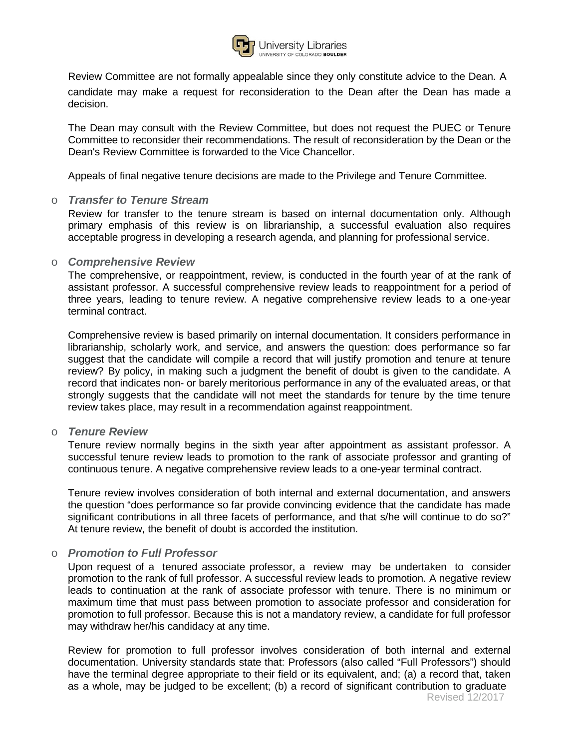

Review Committee are not formally appealable since they only constitute advice to the Dean. A candidate may make a request for reconsideration to the Dean after the Dean has made a decision.

The Dean may consult with the Review Committee, but does not request the PUEC or Tenure Committee to reconsider their recommendations. The result of reconsideration by the Dean or the Dean's Review Committee is forwarded to the Vice Chancellor.

Appeals of final negative tenure decisions are made to the Privilege and Tenure Committee.

#### o *Transfer to Tenure Stream*

Review for transfer to the tenure stream is based on internal documentation only. Although primary emphasis of this review is on librarianship, a successful evaluation also requires acceptable progress in developing a research agenda, and planning for professional service.

#### o *Comprehensive Review*

The comprehensive, or reappointment, review, is conducted in the fourth year of at the rank of assistant professor. A successful comprehensive review leads to reappointment for a period of three years, leading to tenure review. A negative comprehensive review leads to a one-year terminal contract.

Comprehensive review is based primarily on internal documentation. It considers performance in librarianship, scholarly work, and service, and answers the question: does performance so far suggest that the candidate will compile a record that will justify promotion and tenure at tenure review? By policy, in making such a judgment the benefit of doubt is given to the candidate. A record that indicates non- or barely meritorious performance in any of the evaluated areas, or that strongly suggests that the candidate will not meet the standards for tenure by the time tenure review takes place, may result in a recommendation against reappointment.

#### o *Tenure Review*

Tenure review normally begins in the sixth year after appointment as assistant professor. A successful tenure review leads to promotion to the rank of associate professor and granting of continuous tenure. A negative comprehensive review leads to a one-year terminal contract.

Tenure review involves consideration of both internal and external documentation, and answers the question "does performance so far provide convincing evidence that the candidate has made significant contributions in all three facets of performance, and that s/he will continue to do so?" At tenure review, the benefit of doubt is accorded the institution.

#### o *Promotion to Full Professor*

Upon request of a tenured associate professor, a review may be undertaken to consider promotion to the rank of full professor. A successful review leads to promotion. A negative review leads to continuation at the rank of associate professor with tenure. There is no minimum or maximum time that must pass between promotion to associate professor and consideration for promotion to full professor. Because this is not a mandatory review, a candidate for full professor may withdraw her/his candidacy at any time.

Revised 12/2017 Review for promotion to full professor involves consideration of both internal and external documentation. University standards state that: Professors (also called "Full Professors") should have the terminal degree appropriate to their field or its equivalent, and; (a) a record that, taken as a whole, may be judged to be excellent; (b) a record of significant contribution to graduate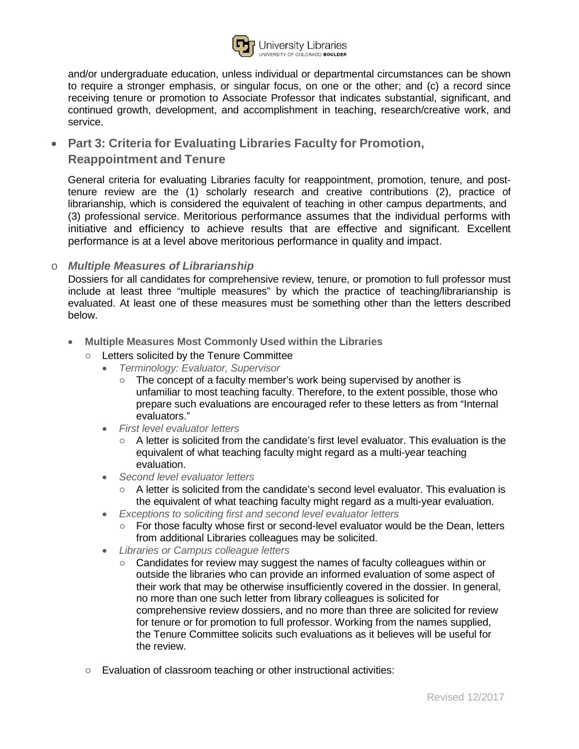

and/or undergraduate education, unless individual or departmental circumstances can be shown to require a stronger emphasis, or singular focus, on one or the other; and (c) a record since receiving tenure or promotion to Associate Professor that indicates substantial, significant, and continued growth, development, and accomplishment in teaching, research/creative work, and service.

## • **Part 3: Criteria for Evaluating Libraries Faculty for Promotion, Reappointment and Tenure**

General criteria for evaluating Libraries faculty for reappointment, promotion, tenure, and posttenure review are the (1) scholarly research and creative contributions (2), practice of librarianship, which is considered the equivalent of teaching in other campus departments, and (3) professional service. Meritorious performance assumes that the individual performs with initiative and efficiency to achieve results that are effective and significant. Excellent performance is at a level above meritorious performance in quality and impact.

### o *Multiple Measures of Librarianship*

Dossiers for all candidates for comprehensive review, tenure, or promotion to full professor must include at least three "multiple measures" by which the practice of teaching/librarianship is evaluated. At least one of these measures must be something other than the letters described below.

- **Multiple Measures Most Commonly Used within the Libraries**
	- Letters solicited by the Tenure Committee
		- *Terminology: Evaluator, Supervisor*
			- The concept of a faculty member's work being supervised by another is unfamiliar to most teaching faculty. Therefore, to the extent possible, those who prepare such evaluations are encouraged refer to these letters as from "Internal evaluators."
		- *First le*v*el e*v*aluator letters*
			- $\circ$  A letter is solicited from the candidate's first level evaluator. This evaluation is the equivalent of what teaching faculty might regard as a multi-year teaching evaluation.
		- *Second level evaluator letters*
			- A letter is solicited from the candidate's second level evaluator. This evaluation is the equivalent of what teaching faculty might regard as a multi-year evaluation.
		- *Exceptions to soliciting first and second level evaluator letters*
			- For those faculty whose first or second-level evaluator would be the Dean, letters from additional Libraries colleagues may be solicited.
		- *Libraries or Campus colleague letters*
			- Candidates for review may suggest the names of faculty colleagues within or outside the libraries who can provide an informed evaluation of some aspect of their work that may be otherwise insufficiently covered in the dossier. In general, no more than one such letter from library colleagues is solicited for comprehensive review dossiers, and no more than three are solicited for review for tenure or for promotion to full professor. Working from the names supplied, the Tenure Committee solicits such evaluations as it believes will be useful for the review.
	- Evaluation of classroom teaching or other instructional activities: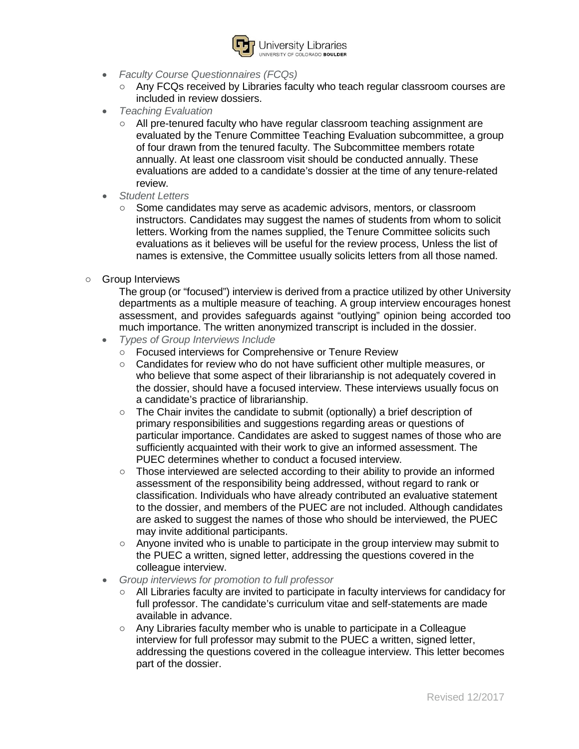

- *Faculty Course Questionnaires (FCQs)*
	- Any FCQs received by Libraries faculty who teach regular classroom courses are included in review dossiers.
- *Teaching Evaluation*
	- All pre-tenured faculty who have regular classroom teaching assignment are evaluated by the Tenure Committee Teaching Evaluation subcommittee, a group of four drawn from the tenured faculty. The Subcommittee members rotate annually. At least one classroom visit should be conducted annually. These evaluations are added to a candidate's dossier at the time of any tenure-related review.
- *Student Letters*
	- Some candidates may serve as academic advisors, mentors, or classroom instructors. Candidates may suggest the names of students from whom to solicit letters. Working from the names supplied, the Tenure Committee solicits such evaluations as it believes will be useful for the review process, Unless the list of names is extensive, the Committee usually solicits letters from all those named.
- G**r**oup Interviews

The group (or "focused") interview is derived from a practice utilized by other University departments as a multiple measure of teaching. A group interview encourages honest assessment, and provides safeguards against "outlying" opinion being accorded too much importance. The written anonymized transcript is included in the dossier.

- *Types of Group Interviews Include*
	- Focused interviews for Comprehensive or Tenure Review
	- Candidates for review who do not have sufficient other multiple measures, or who believe that some aspect of their librarianship is not adequately covered in the dossier, should have a focused interview. These interviews usually focus on a candidate's practice of librarianship.
	- The Chair invites the candidate to submit (optionally) a brief description of primary responsibilities and suggestions regarding areas or questions of particular importance. Candidates are asked to suggest names of those who are sufficiently acquainted with their work to give an informed assessment. The PUEC determines whether to conduct a focused interview.
	- Those interviewed are selected according to their ability to provide an informed assessment of the responsibility being addressed, without regard to rank or classification. Individuals who have already contributed an evaluative statement to the dossier, and members of the PUEC are not included. Although candidates are asked to suggest the names of those who should be interviewed, the PUEC may invite additional participants.
	- Anyone invited who is unable to participate in the group interview may submit to the PUEC a written, signed letter, addressing the questions covered in the colleague interview.
- *Group interviews for promotion to full professor*
	- All Libraries faculty are invited to participate in faculty interviews for candidacy for full professor. The candidate's curriculum vitae and self-statements are made available in advance.
	- Any Libraries faculty member who is unable to participate in a Colleague interview for full professor may submit to the PUEC a written, signed letter, addressing the questions covered in the colleague interview. This letter becomes part of the dossier.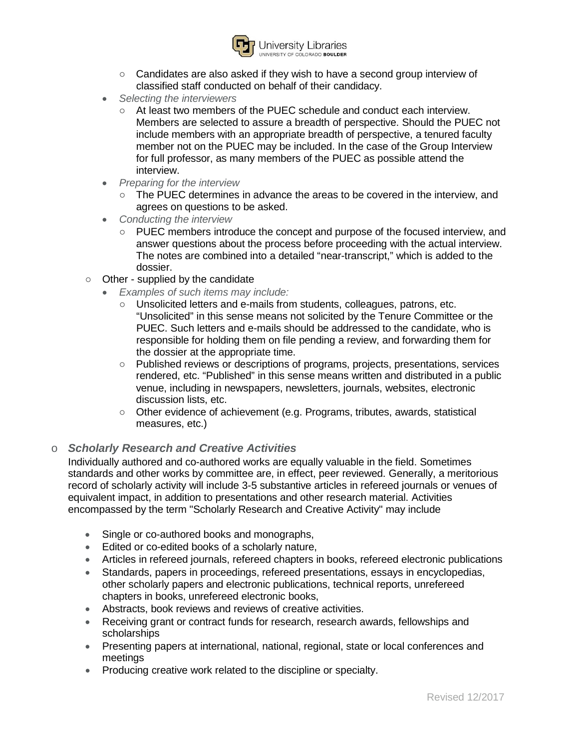

- Candidates are also asked if they wish to have a second group interview of classified staff conducted on behalf of their candidacy.
- *Selecting the interviewers*
	- At least two members of the PUEC schedule and conduct each interview. Members are selected to assure a breadth of perspective. Should the PUEC not include members with an appropriate breadth of perspective, a tenured faculty member not on the PUEC may be included. In the case of the Group Interview for full professor, as many members of the PUEC as possible attend the interview.
- *Preparing for the interview*
	- The PUEC determines in advance the areas to be covered in the interview, and agrees on questions to be asked.
- *Conducting the interview*
	- PUEC members introduce the concept and purpose of the focused interview, and answer questions about the process before proceeding with the actual interview. The notes are combined into a detailed "near-transcript," which is added to the dossier.
- Other supplied by the candidate
	- *Examples of such items may include:*
		- Unsolicited letters and e-mails from students, colleagues, patrons, etc. "Unsolicited" in this sense means not solicited by the Tenure Committee or the PUEC. Such letters and e-mails should be addressed to the candidate, who is responsible for holding them on file pending a review, and forwarding them for the dossier at the appropriate time.
		- Published reviews or descriptions of programs, projects, presentations, services rendered, etc. "Published" in this sense means written and distributed in a public venue, including in newspapers, newsletters, journals, websites, electronic discussion lists, etc.
		- Other evidence of achievement (e.g. Programs, tributes, awards, statistical measures, etc.)

### o *Scholarly Research and Creative Activities*

Individually authored and co-authored works are equally valuable in the field. Sometimes standards and other works by committee are, in effect, peer reviewed. Generally, a meritorious record of scholarly activity will include 3-5 substantive articles in refereed journals or venues of equivalent impact, in addition to presentations and other research material. Activities encompassed by the term "Scholarly Research and Creative Activity" may include

- Single or co-authored books and monographs,
- Edited or co-edited books of a scholarly nature,
- Articles in refereed journals, refereed chapters in books, refereed electronic publications
- Standards, papers in proceedings, refereed presentations, essays in encyclopedias, other scholarly papers and electronic publications, technical reports, unrefereed chapters in books, unrefereed electronic books,
- Abstracts, book reviews and reviews of creative activities.
- Receiving grant or contract funds for research, research awards, fellowships and scholarships
- Presenting papers at international, national, regional, state or local conferences and meetings
- Producing creative work related to the discipline or specialty.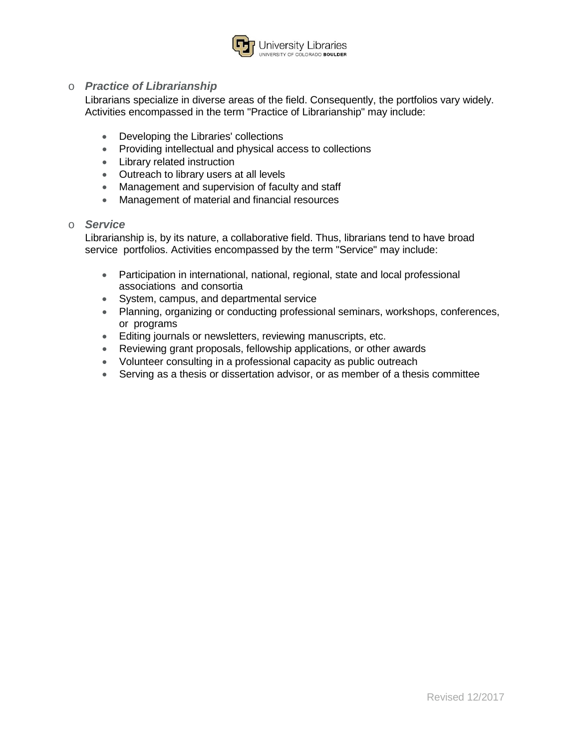

### o *Practice of Librarianship*

Librarians specialize in diverse areas of the field. Consequently, the portfolios vary widely. Activities encompassed in the term "Practice of Librarianship" may include:

- Developing the Libraries' collections
- Providing intellectual and physical access to collections
- Library related instruction
- Outreach to library users at all levels
- Management and supervision of faculty and staff
- Management of material and financial resources

#### o *Service*

Librarianship is, by its nature, a collaborative field. Thus, librarians tend to have broad service portfolios. Activities encompassed by the term "Service" may include:

- Participation in international, national, regional, state and local professional associations and consortia
- System, campus, and departmental service
- Planning, organizing or conducting professional seminars, workshops, conferences, or programs
- Editing journals or newsletters, reviewing manuscripts, etc.
- Reviewing grant proposals, fellowship applications, or other awards
- Volunteer consulting in a professional capacity as public outreach
- Serving as a thesis or dissertation advisor, or as member of a thesis committee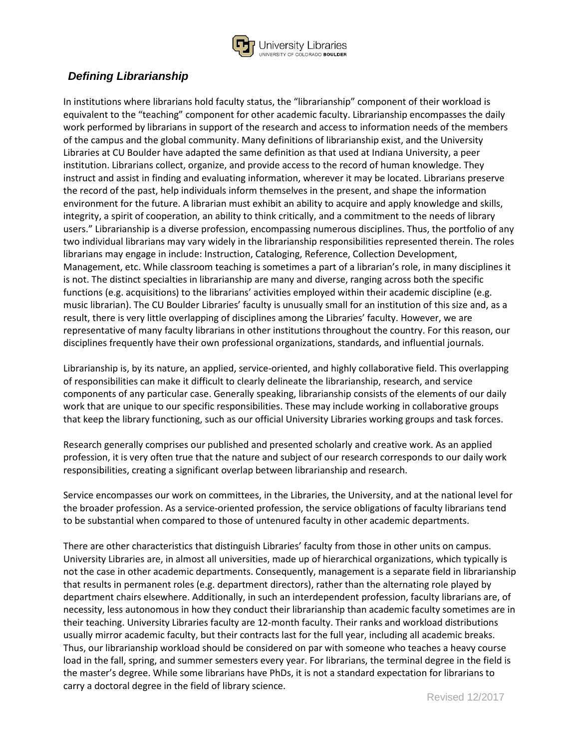

# *Defining Librarianship*

In institutions where librarians hold faculty status, the "librarianship" component of their workload is equivalent to the "teaching" component for other academic faculty. Librarianship encompasses the daily work performed by librarians in support of the research and access to information needs of the members of the campus and the global community. Many definitions of librarianship exist, and the University Libraries at CU Boulder have adapted the same definition as that used at Indiana University, a peer institution. Librarians collect, organize, and provide access to the record of human knowledge. They instruct and assist in finding and evaluating information, wherever it may be located. Librarians preserve the record of the past, help individuals inform themselves in the present, and shape the information environment for the future. A librarian must exhibit an ability to acquire and apply knowledge and skills, integrity, a spirit of cooperation, an ability to think critically, and a commitment to the needs of library users." Librarianship is a diverse profession, encompassing numerous disciplines. Thus, the portfolio of any two individual librarians may vary widely in the librarianship responsibilities represented therein. The roles librarians may engage in include: Instruction, Cataloging, Reference, Collection Development, Management, etc. While classroom teaching is sometimes a part of a librarian's role, in many disciplines it is not. The distinct specialties in librarianship are many and diverse, ranging across both the specific functions (e.g. acquisitions) to the librarians' activities employed within their academic discipline (e.g. music librarian). The CU Boulder Libraries' faculty is unusually small for an institution of this size and, as a result, there is very little overlapping of disciplines among the Libraries' faculty. However, we are representative of many faculty librarians in other institutions throughout the country. For this reason, our disciplines frequently have their own professional organizations, standards, and influential journals.

Librarianship is, by its nature, an applied, service-oriented, and highly collaborative field. This overlapping of responsibilities can make it difficult to clearly delineate the librarianship, research, and service components of any particular case. Generally speaking, librarianship consists of the elements of our daily work that are unique to our specific responsibilities. These may include working in collaborative groups that keep the library functioning, such as our official University Libraries working groups and task forces.

Research generally comprises our published and presented scholarly and creative work. As an applied profession, it is very often true that the nature and subject of our research corresponds to our daily work responsibilities, creating a significant overlap between librarianship and research.

Service encompasses our work on committees, in the Libraries, the University, and at the national level for the broader profession. As a service-oriented profession, the service obligations of faculty librarians tend to be substantial when compared to those of untenured faculty in other academic departments.

There are other characteristics that distinguish Libraries' faculty from those in other units on campus. University Libraries are, in almost all universities, made up of hierarchical organizations, which typically is not the case in other academic departments. Consequently, management is a separate field in librarianship that results in permanent roles (e.g. department directors), rather than the alternating role played by department chairs elsewhere. Additionally, in such an interdependent profession, faculty librarians are, of necessity, less autonomous in how they conduct their librarianship than academic faculty sometimes are in their teaching. University Libraries faculty are 12-month faculty. Their ranks and workload distributions usually mirror academic faculty, but their contracts last for the full year, including all academic breaks. Thus, our librarianship workload should be considered on par with someone who teaches a heavy course load in the fall, spring, and summer semesters every year. For librarians, the terminal degree in the field is the master's degree. While some librarians have PhDs, it is not a standard expectation for librarians to carry a doctoral degree in the field of library science.